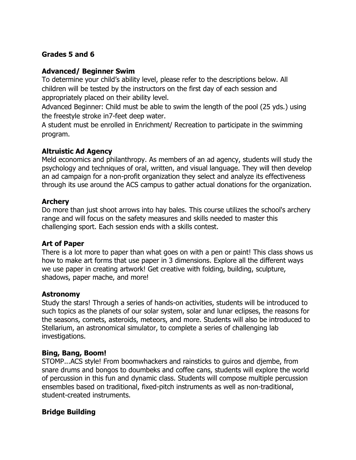## **Grades 5 and 6**

## **Advanced/ Beginner Swim**

To determine your child's ability level, please refer to the descriptions below. All children will be tested by the instructors on the first day of each session and appropriately placed on their ability level.

Advanced Beginner: Child must be able to swim the length of the pool (25 yds.) using the freestyle stroke in7-feet deep water.

A student must be enrolled in Enrichment/ Recreation to participate in the swimming program.

## **Altruistic Ad Agency**

Meld economics and philanthropy. As members of an ad agency, students will study the psychology and techniques of oral, written, and visual language. They will then develop an ad campaign for a non-profit organization they select and analyze its effectiveness through its use around the ACS campus to gather actual donations for the organization.

## **Archery**

Do more than just shoot arrows into hay bales. This course utilizes the school's archery range and will focus on the safety measures and skills needed to master this challenging sport. Each session ends with a skills contest.

## **Art of Paper**

There is a lot more to paper than what goes on with a pen or paint! This class shows us how to make art forms that use paper in 3 dimensions. Explore all the different ways we use paper in creating artwork! Get creative with folding, building, sculpture, shadows, paper mache, and more!

## **Astronomy**

Study the stars! Through a series of hands-on activities, students will be introduced to such topics as the planets of our solar system, solar and lunar eclipses, the reasons for the seasons, comets, asteroids, meteors, and more. Students will also be introduced to Stellarium, an astronomical simulator, to complete a series of challenging lab investigations.

## **Bing, Bang, Boom!**

STOMP...ACS style! From boomwhackers and rainsticks to guiros and djembe, from snare drums and bongos to doumbeks and coffee cans, students will explore the world of percussion in this fun and dynamic class. Students will compose multiple percussion ensembles based on traditional, fixed-pitch instruments as well as non-traditional, student-created instruments.

## **Bridge Building**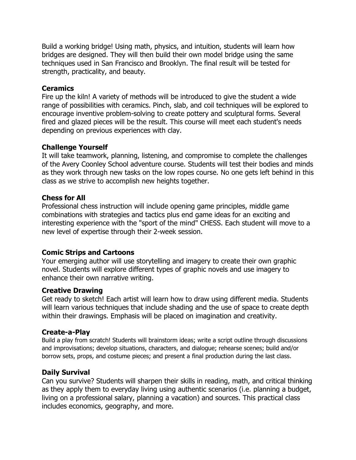Build a working bridge! Using math, physics, and intuition, students will learn how bridges are designed. They will then build their own model bridge using the same techniques used in San Francisco and Brooklyn. The final result will be tested for strength, practicality, and beauty.

#### **Ceramics**

Fire up the kiln! A variety of methods will be introduced to give the student a wide range of possibilities with ceramics. Pinch, slab, and coil techniques will be explored to encourage inventive problem-solving to create pottery and sculptural forms. Several fired and glazed pieces will be the result. This course will meet each student's needs depending on previous experiences with clay.

## **Challenge Yourself**

It will take teamwork, planning, listening, and compromise to complete the challenges of the Avery Coonley School adventure course. Students will test their bodies and minds as they work through new tasks on the low ropes course. No one gets left behind in this class as we strive to accomplish new heights together.

#### **Chess for All**

Professional chess instruction will include opening game principles, middle game combinations with strategies and tactics plus end game ideas for an exciting and interesting experience with the "sport of the mind" CHESS. Each student will move to a new level of expertise through their 2-week session.

## **Comic Strips and Cartoons**

Your emerging author will use storytelling and imagery to create their own graphic novel. Students will explore different types of graphic novels and use imagery to enhance their own narrative writing.

#### **Creative Drawing**

Get ready to sketch! Each artist will learn how to draw using different media. Students will learn various techniques that include shading and the use of space to create depth within their drawings. Emphasis will be placed on imagination and creativity.

#### **Create-a-Play**

Build a play from scratch! Students will brainstorm ideas; write a script outline through discussions and improvisations; develop situations, characters, and dialogue; rehearse scenes; build and/or borrow sets, props, and costume pieces; and present a final production during the last class.

## **Daily Survival**

Can you survive? Students will sharpen their skills in reading, math, and critical thinking as they apply them to everyday living using authentic scenarios (i.e. planning a budget, living on a professional salary, planning a vacation) and sources. This practical class includes economics, geography, and more.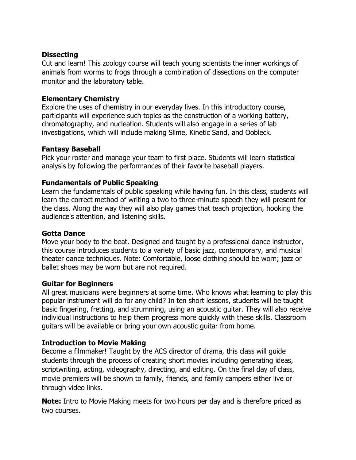### **Dissecting**

Cut and learn! This zoology course will teach young scientists the inner workings of animals from worms to frogs through a combination of dissections on the computer monitor and the laboratory table.

## **Elementary Chemistry**

Explore the uses of chemistry in our everyday lives. In this introductory course, participants will experience such topics as the construction of a working battery, chromatography, and nucleation. Students will also engage in a series of lab investigations, which will include making Slime, Kinetic Sand, and Oobleck.

## **Fantasy Baseball**

Pick your roster and manage your team to first place. Students will learn statistical analysis by following the performances of their favorite baseball players.

## **Fundamentals of Public Speaking**

Learn the fundamentals of public speaking while having fun. In this class, students will learn the correct method of writing a two to three-minute speech they will present for the class. Along the way they will also play games that teach projection, hooking the audience's attention, and listening skills.

## **Gotta Dance**

Move your body to the beat. Designed and taught by a professional dance instructor, this course introduces students to a variety of basic jazz, contemporary, and musical theater dance techniques. Note: Comfortable, loose clothing should be worn; jazz or ballet shoes may be worn but are not required.

## **Guitar for Beginners**

All great musicians were beginners at some time. Who knows what learning to play this popular instrument will do for any child? In ten short lessons, students will be taught basic fingering, fretting, and strumming, using an acoustic guitar. They will also receive individual instructions to help them progress more quickly with these skills. Classroom guitars will be available or bring your own acoustic guitar from home.

## **Introduction to Movie Making**

Become a filmmaker! Taught by the ACS director of drama, this class will guide students through the process of creating short movies including generating ideas, scriptwriting, acting, videography, directing, and editing. On the final day of class, movie premiers will be shown to family, friends, and family campers either live or through video links.

**Note:** Intro to Movie Making meets for two hours per day and is therefore priced as two courses.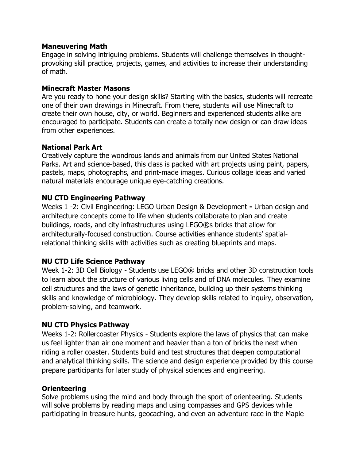#### **Maneuvering Math**

Engage in solving intriguing problems. Students will challenge themselves in thoughtprovoking skill practice, projects, games, and activities to increase their understanding of math.

#### **Minecraft Master Masons**

Are you ready to hone your design skills? Starting with the basics, students will recreate one of their own drawings in Minecraft. From there, students will use Minecraft to create their own house, city, or world. Beginners and experienced students alike are encouraged to participate. Students can create a totally new design or can draw ideas from other experiences.

#### **National Park Art**

Creatively capture the wondrous lands and animals from our United States National Parks. Art and science-based, this class is packed with art projects using paint, papers, pastels, maps, photographs, and print-made images. Curious collage ideas and varied natural materials encourage unique eye-catching creations.

## **NU CTD Engineering Pathway**

Weeks 1 -2: Civil Engineering: LEGO Urban Design & Development **-** Urban design and architecture concepts come to life when students collaborate to plan and create buildings, roads, and city infrastructures using LEGO®s bricks that allow for architecturally-focused construction. Course activities enhance students' spatialrelational thinking skills with activities such as creating blueprints and maps.

## **NU CTD Life Science Pathway**

Week 1-2: 3D Cell Biology - Students use LEGO® bricks and other 3D construction tools to learn about the structure of various living cells and of DNA molecules. They examine cell structures and the laws of genetic inheritance, building up their systems thinking skills and knowledge of microbiology. They develop skills related to inquiry, observation, problem-solving, and teamwork.

## **NU CTD Physics Pathway**

Weeks 1-2: Rollercoaster Physics - Students explore the laws of physics that can make us feel lighter than air one moment and heavier than a ton of bricks the next when riding a roller coaster. Students build and test structures that deepen computational and analytical thinking skills. The science and design experience provided by this course prepare participants for later study of physical sciences and engineering.

## **Orienteering**

Solve problems using the mind and body through the sport of orienteering. Students will solve problems by reading maps and using compasses and GPS devices while participating in treasure hunts, geocaching, and even an adventure race in the Maple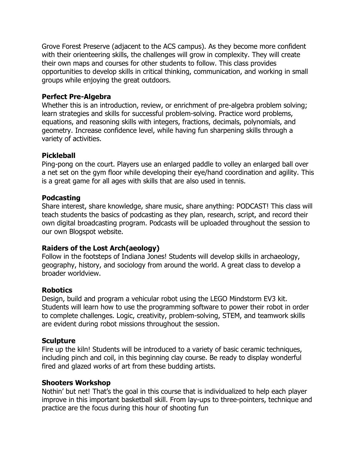Grove Forest Preserve (adjacent to the ACS campus). As they become more confident with their orienteering skills, the challenges will grow in complexity. They will create their own maps and courses for other students to follow. This class provides opportunities to develop skills in critical thinking, communication, and working in small groups while enjoying the great outdoors.

### **Perfect Pre-Algebra**

Whether this is an introduction, review, or enrichment of pre-algebra problem solving; learn strategies and skills for successful problem-solving. Practice word problems, equations, and reasoning skills with integers, fractions, decimals, polynomials, and geometry. Increase confidence level, while having fun sharpening skills through a variety of activities.

#### **Pickleball**

Ping-pong on the court. Players use an enlarged paddle to volley an enlarged ball over a net set on the gym floor while developing their eye/hand coordination and agility. This is a great game for all ages with skills that are also used in tennis.

#### **Podcasting**

Share interest, share knowledge, share music, share anything: PODCAST! This class will teach students the basics of podcasting as they plan, research, script, and record their own digital broadcasting program. Podcasts will be uploaded throughout the session to our own Blogspot website.

## **Raiders of the Lost Arch(aeology)**

Follow in the footsteps of Indiana Jones! Students will develop skills in archaeology, geography, history, and sociology from around the world. A great class to develop a broader worldview.

#### **Robotics**

Design, build and program a vehicular robot using the LEGO Mindstorm EV3 kit. Students will learn how to use the programming software to power their robot in order to complete challenges. Logic, creativity, problem-solving, STEM, and teamwork skills are evident during robot missions throughout the session.

#### **Sculpture**

Fire up the kiln! Students will be introduced to a variety of basic ceramic techniques, including pinch and coil, in this beginning clay course. Be ready to display wonderful fired and glazed works of art from these budding artists.

#### **Shooters Workshop**

Nothin' but net! That's the goal in this course that is individualized to help each player improve in this important basketball skill. From lay-ups to three-pointers, technique and practice are the focus during this hour of shooting fun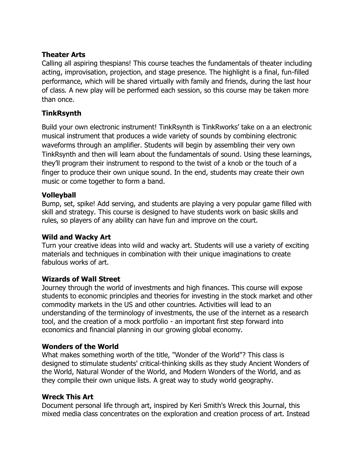## **Theater Arts**

Calling all aspiring thespians! This course teaches the fundamentals of theater including acting, improvisation, projection, and stage presence. The highlight is a final, fun-filled performance, which will be shared virtually with family and friends, during the last hour of class. A new play will be performed each session, so this course may be taken more than once.

# **TinkRsynth**

Build your own electronic instrument! TinkRsynth is TinkRworks' take on a an electronic musical instrument that produces a wide variety of sounds by combining electronic waveforms through an amplifier. Students will begin by assembling their very own TinkRsynth and then will learn about the fundamentals of sound. Using these learnings, they'll program their instrument to respond to the twist of a knob or the touch of a finger to produce their own unique sound. In the end, students may create their own music or come together to form a band.

## **Volleyball**

Bump, set, spike! Add serving, and students are playing a very popular game filled with skill and strategy. This course is designed to have students work on basic skills and rules, so players of any ability can have fun and improve on the court.

# **Wild and Wacky Art**

Turn your creative ideas into wild and wacky art. Students will use a variety of exciting materials and techniques in combination with their unique imaginations to create fabulous works of art.

## **Wizards of Wall Street**

Journey through the world of investments and high finances. This course will expose students to economic principles and theories for investing in the stock market and other commodity markets in the US and other countries. Activities will lead to an understanding of the terminology of investments, the use of the internet as a research tool, and the creation of a mock portfolio - an important first step forward into economics and financial planning in our growing global economy.

## **Wonders of the World**

What makes something worth of the title, "Wonder of the World"? This class is designed to stimulate students' critical-thinking skills as they study Ancient Wonders of the World, Natural Wonder of the World, and Modern Wonders of the World, and as they compile their own unique lists. A great way to study world geography.

# **Wreck This Art**

Document personal life through art, inspired by Keri Smith's Wreck this Journal, this mixed media class concentrates on the exploration and creation process of art. Instead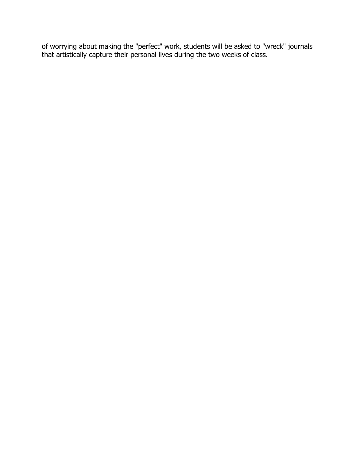of worrying about making the "perfect" work, students will be asked to "wreck" journals that artistically capture their personal lives during the two weeks of class.